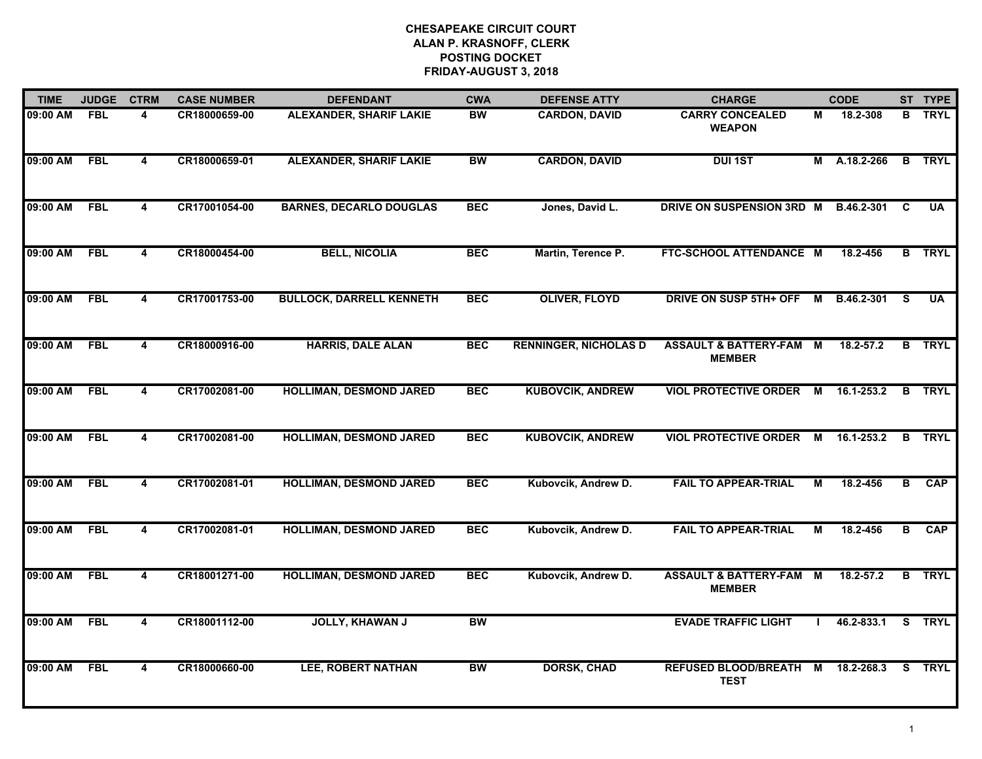| <b>TIME</b> | <b>JUDGE</b> | <b>CTRM</b>             | <b>CASE NUMBER</b> | <b>DEFENDANT</b>                | <b>CWA</b> | <b>DEFENSE ATTY</b>          | <b>CHARGE</b>                                       |   | <b>CODE</b>  |          | ST TYPE       |
|-------------|--------------|-------------------------|--------------------|---------------------------------|------------|------------------------------|-----------------------------------------------------|---|--------------|----------|---------------|
| 09:00 AM    | FBL          | 4                       | CR18000659-00      | <b>ALEXANDER, SHARIF LAKIE</b>  | <b>BW</b>  | <b>CARDON, DAVID</b>         | <b>CARRY CONCEALED</b><br><b>WEAPON</b>             | М | 18.2-308     |          | <b>B</b> TRYL |
| 09:00 AM    | FBL          | 4                       | CR18000659-01      | <b>ALEXANDER, SHARIF LAKIE</b>  | <b>BW</b>  | <b>CARDON, DAVID</b>         | <b>DUI 1ST</b>                                      |   | M A.18.2-266 |          | <b>B</b> TRYL |
| 09:00 AM    | <b>FBL</b>   | 4                       | CR17001054-00      | <b>BARNES, DECARLO DOUGLAS</b>  | <b>BEC</b> | Jones, David L.              | DRIVE ON SUSPENSION 3RD M                           |   | B.46.2-301   | <b>C</b> | <b>UA</b>     |
| 09:00 AM    | <b>FBL</b>   | 4                       | CR18000454-00      | <b>BELL, NICOLIA</b>            | <b>BEC</b> | Martin, Terence P.           | FTC-SCHOOL ATTENDANCE M                             |   | 18.2-456     | B        | <b>TRYL</b>   |
| 09:00 AM    | <b>FBL</b>   | 4                       | CR17001753-00      | <b>BULLOCK, DARRELL KENNETH</b> | <b>BEC</b> | <b>OLIVER, FLOYD</b>         | DRIVE ON SUSP 5TH+ OFF                              | M | B.46.2-301   | <b>S</b> | <b>UA</b>     |
| 09:00 AM    | <b>FBL</b>   | 4                       | CR18000916-00      | <b>HARRIS, DALE ALAN</b>        | <b>BEC</b> | <b>RENNINGER, NICHOLAS D</b> | <b>ASSAULT &amp; BATTERY-FAM M</b><br><b>MEMBER</b> |   | 18.2-57.2    | B        | <b>TRYL</b>   |
| 09:00 AM    | <b>FBL</b>   | $\overline{\mathbf{4}}$ | CR17002081-00      | <b>HOLLIMAN, DESMOND JARED</b>  | <b>BEC</b> | <b>KUBOVCIK, ANDREW</b>      | <b>VIOL PROTECTIVE ORDER</b>                        | M | 16.1-253.2   | B        | <b>TRYL</b>   |
| 09:00 AM    | <b>FBL</b>   | 4                       | CR17002081-00      | <b>HOLLIMAN, DESMOND JARED</b>  | <b>BEC</b> | <b>KUBOVCIK, ANDREW</b>      | <b>VIOL PROTECTIVE ORDER M</b>                      |   | 16.1-253.2   | B        | <b>TRYL</b>   |
| 09:00 AM    | <b>FBL</b>   | 4                       | CR17002081-01      | <b>HOLLIMAN, DESMOND JARED</b>  | <b>BEC</b> | Kubovcik, Andrew D.          | <b>FAIL TO APPEAR-TRIAL</b>                         | м | 18.2-456     | В        | <b>CAP</b>    |
| 09:00 AM    | <b>FBL</b>   | $\overline{\mathbf{4}}$ | CR17002081-01      | <b>HOLLIMAN, DESMOND JARED</b>  | <b>BEC</b> | Kubovcik, Andrew D.          | <b>FAIL TO APPEAR-TRIAL</b>                         | M | 18.2-456     | B        | <b>CAP</b>    |
| 09:00 AM    | <b>FBL</b>   | 4                       | CR18001271-00      | <b>HOLLIMAN, DESMOND JARED</b>  | <b>BEC</b> | Kubovcik, Andrew D.          | <b>ASSAULT &amp; BATTERY-FAM M</b><br><b>MEMBER</b> |   | 18.2-57.2    | B        | <b>TRYL</b>   |
| 09:00 AM    | <b>FBL</b>   | $\overline{\mathbf{4}}$ | CR18001112-00      | <b>JOLLY, KHAWAN J</b>          | <b>BW</b>  |                              | <b>EVADE TRAFFIC LIGHT</b>                          |   | 46.2-833.1   | <b>S</b> | <b>TRYL</b>   |
| 09:00 AM    | <b>FBL</b>   | 4                       | CR18000660-00      | <b>LEE, ROBERT NATHAN</b>       | <b>BW</b>  | <b>DORSK, CHAD</b>           | <b>REFUSED BLOOD/BREATH M</b><br><b>TEST</b>        |   | 18.2-268.3   |          | S TRYL        |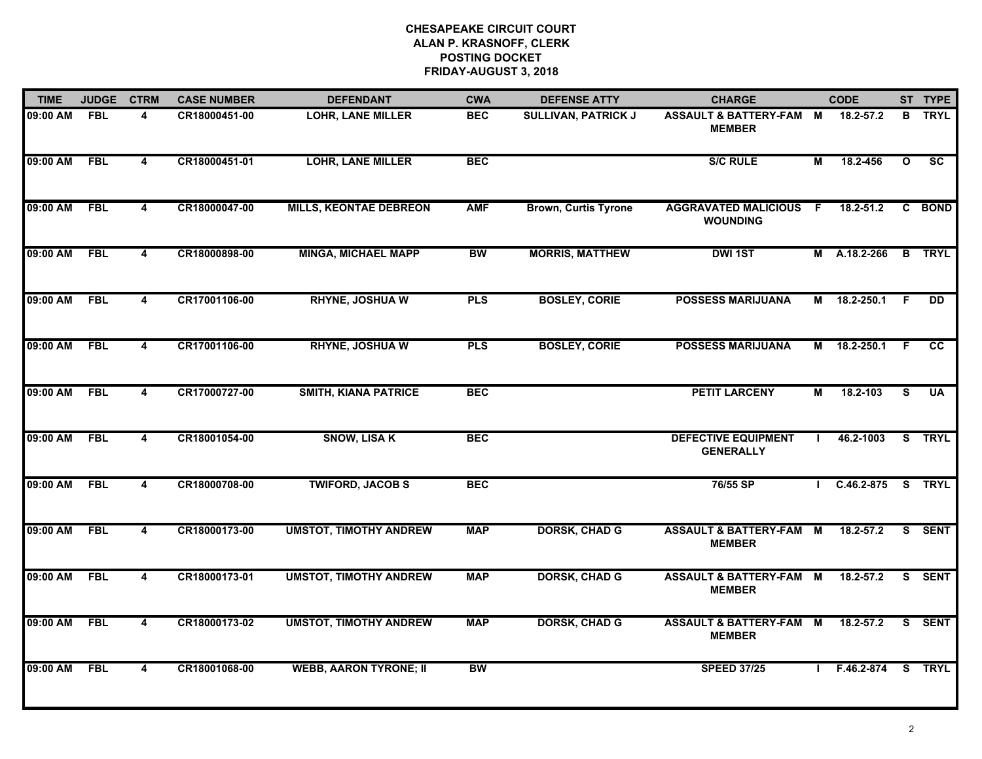| <b>TIME</b>  | <b>JUDGE</b> | <b>CTRM</b>             | <b>CASE NUMBER</b> | <b>DEFENDANT</b>              | <b>CWA</b> | <b>DEFENSE ATTY</b>         | <b>CHARGE</b>                                       |    | <b>CODE</b>    |              | ST TYPE                  |
|--------------|--------------|-------------------------|--------------------|-------------------------------|------------|-----------------------------|-----------------------------------------------------|----|----------------|--------------|--------------------------|
| 09:00 AM     | <b>FBL</b>   | 4                       | CR18000451-00      | <b>LOHR, LANE MILLER</b>      | <b>BEC</b> | <b>SULLIVAN, PATRICK J</b>  | <b>ASSAULT &amp; BATTERY-FAM M</b><br><b>MEMBER</b> |    | 18.2-57.2      | B            | <b>TRYL</b>              |
| 09:00 AM     | FBL          | 4                       | CR18000451-01      | <b>LOHR, LANE MILLER</b>      | <b>BEC</b> |                             | <b>S/C RULE</b>                                     | М  | 18.2-456       | $\mathbf{o}$ | $\overline{\mathsf{sc}}$ |
| 09:00 AM     | <b>FBL</b>   | $\overline{4}$          | CR18000047-00      | <b>MILLS, KEONTAE DEBREON</b> | <b>AMF</b> | <b>Brown, Curtis Tyrone</b> | <b>AGGRAVATED MALICIOUS</b><br><b>WOUNDING</b>      | -F | 18.2-51.2      |              | C BOND                   |
| 09:00 AM     | <b>FBL</b>   | 4                       | CR18000898-00      | <b>MINGA, MICHAEL MAPP</b>    | <b>BW</b>  | <b>MORRIS, MATTHEW</b>      | <b>DWI 1ST</b>                                      |    | M A.18.2-266   |              | <b>B</b> TRYL            |
| 09:00 AM     | <b>FBL</b>   | 4                       | CR17001106-00      | <b>RHYNE, JOSHUA W</b>        | <b>PLS</b> | <b>BOSLEY, CORIE</b>        | <b>POSSESS MARIJUANA</b>                            |    | M 18.2-250.1   | F.           | <b>DD</b>                |
| 09:00 AM FBL |              | $\overline{\mathbf{4}}$ | CR17001106-00      | <b>RHYNE, JOSHUA W</b>        | <b>PLS</b> | <b>BOSLEY, CORIE</b>        | <b>POSSESS MARIJUANA</b>                            |    | M 18.2-250.1   | - F          | <b>CC</b>                |
| 09:00 AM     | FBL          | $\overline{\mathbf{4}}$ | CR17000727-00      | <b>SMITH, KIANA PATRICE</b>   | <b>BEC</b> |                             | <b>PETIT LARCENY</b>                                | М  | 18.2-103       | <b>S</b>     | <b>UA</b>                |
| 09:00 AM     | <b>FBL</b>   | $\overline{\mathbf{4}}$ | CR18001054-00      | <b>SNOW, LISA K</b>           | <b>BEC</b> |                             | <b>DEFECTIVE EQUIPMENT</b><br><b>GENERALLY</b>      |    | 46.2-1003      |              | S TRYL                   |
| 09:00 AM     | <b>FBL</b>   | $\overline{\mathbf{4}}$ | CR18000708-00      | <b>TWIFORD, JACOB S</b>       | <b>BEC</b> |                             | 76/55 SP                                            |    | $C.46.2 - 875$ |              | S TRYL                   |
| 09:00 AM     | <b>FBL</b>   | 4                       | CR18000173-00      | <b>UMSTOT, TIMOTHY ANDREW</b> | <b>MAP</b> | <b>DORSK, CHAD G</b>        | <b>ASSAULT &amp; BATTERY-FAM</b><br><b>MEMBER</b>   | M  | $18.2 - 57.2$  |              | S SENT                   |
| 09:00 AM     | <b>FBL</b>   | 4                       | CR18000173-01      | <b>UMSTOT, TIMOTHY ANDREW</b> | <b>MAP</b> | <b>DORSK, CHAD G</b>        | ASSAULT & BATTERY-FAM M<br><b>MEMBER</b>            |    | $18.2 - 57.2$  |              | S SENT                   |
| 09:00 AM     | <b>FBL</b>   | $\overline{\mathbf{4}}$ | CR18000173-02      | <b>UMSTOT, TIMOTHY ANDREW</b> | <b>MAP</b> | <b>DORSK, CHAD G</b>        | ASSAULT & BATTERY-FAM M<br><b>MEMBER</b>            |    | 18.2-57.2      | S.           | <b>SENT</b>              |
| 09:00 AM     | <b>FBL</b>   | 4                       | CR18001068-00      | <b>WEBB, AARON TYRONE; II</b> | <b>BW</b>  |                             | <b>SPEED 37/25</b>                                  |    | F.46.2-874     |              | S TRYL                   |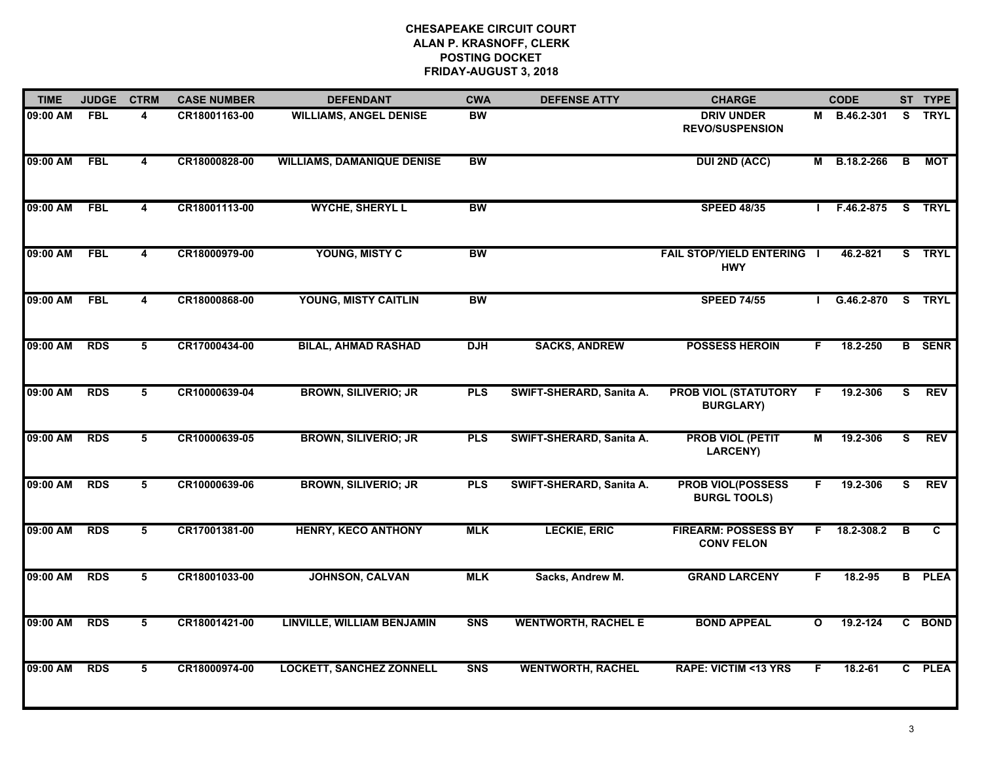| <b>TIME</b> | <b>JUDGE</b> | <b>CTRM</b>     | <b>CASE NUMBER</b> | <b>DEFENDANT</b>                  | <b>CWA</b> | <b>DEFENSE ATTY</b>        | <b>CHARGE</b>                                   |              | <b>CODE</b>       |                | ST TYPE       |
|-------------|--------------|-----------------|--------------------|-----------------------------------|------------|----------------------------|-------------------------------------------------|--------------|-------------------|----------------|---------------|
| 09:00 AM    | FBL          | 4               | CR18001163-00      | <b>WILLIAMS, ANGEL DENISE</b>     | <b>BW</b>  |                            | <b>DRIV UNDER</b><br><b>REVO/SUSPENSION</b>     |              | M B.46.2-301      |                | S TRYL        |
| 09:00 AM    | FBL          | 4               | CR18000828-00      | <b>WILLIAMS, DAMANIQUE DENISE</b> | <b>BW</b>  |                            | <b>DUI 2ND (ACC)</b>                            |              | M B.18.2-266      | $\overline{B}$ | NOT           |
| 09:00 AM    | <b>FBL</b>   | 4               | CR18001113-00      | <b>WYCHE, SHERYL L</b>            | <b>BW</b>  |                            | <b>SPEED 48/35</b>                              |              | F.46.2-875 S TRYL |                |               |
| 09:00 AM    | <b>FBL</b>   | 4               | CR18000979-00      | YOUNG, MISTY C                    | <b>BW</b>  |                            | <b>FAIL STOP/YIELD ENTERING I</b><br><b>HWY</b> |              | 46.2-821          |                | S TRYL        |
| 09:00 AM    | <b>FBL</b>   | 4               | CR18000868-00      | YOUNG, MISTY CAITLIN              | <b>BW</b>  |                            | <b>SPEED 74/55</b>                              |              | $G.46.2 - 870$    |                | S TRYL        |
| 09:00 AM    | <b>RDS</b>   | 5               | CR17000434-00      | <b>BILAL, AHMAD RASHAD</b>        | <b>DJH</b> | <b>SACKS, ANDREW</b>       | <b>POSSESS HEROIN</b>                           | F.           | 18.2-250          |                | <b>B</b> SENR |
| 09:00 AM    | <b>RDS</b>   | $\overline{5}$  | CR10000639-04      | <b>BROWN, SILIVERIO; JR</b>       | <b>PLS</b> | SWIFT-SHERARD, Sanita A.   | <b>PROB VIOL (STATUTORY</b><br><b>BURGLARY)</b> | - F          | 19.2-306          | S.             | <b>REV</b>    |
| 09:00 AM    | <b>RDS</b>   | $\overline{5}$  | CR10000639-05      | <b>BROWN, SILIVERIO; JR</b>       | <b>PLS</b> | SWIFT-SHERARD, Sanita A.   | <b>PROB VIOL (PETIT</b><br>LARCENY)             | М            | 19.2-306          | S              | <b>REV</b>    |
| 09:00 AM    | <b>RDS</b>   | 5               | CR10000639-06      | <b>BROWN, SILIVERIO; JR</b>       | <b>PLS</b> | SWIFT-SHERARD, Sanita A.   | <b>PROB VIOL(POSSESS</b><br><b>BURGL TOOLS)</b> | F.           | 19.2-306          | S.             | <b>REV</b>    |
| 09:00 AM    | <b>RDS</b>   | 5               | CR17001381-00      | <b>HENRY, KECO ANTHONY</b>        | <b>MLK</b> | <b>LECKIE, ERIC</b>        | <b>FIREARM: POSSESS BY</b><br><b>CONV FELON</b> | F.           | 18.2-308.2        | B              | C             |
| 09:00 AM    | <b>RDS</b>   | 5               | CR18001033-00      | JOHNSON, CALVAN                   | <b>MLK</b> | Sacks, Andrew M.           | <b>GRAND LARCENY</b>                            | F.           | 18.2-95           |                | <b>B</b> PLEA |
| 09:00 AM    | <b>RDS</b>   | $5\overline{5}$ | CR18001421-00      | <b>LINVILLE, WILLIAM BENJAMIN</b> | <b>SNS</b> | <b>WENTWORTH, RACHEL E</b> | <b>BOND APPEAL</b>                              | $\mathbf{o}$ | 19.2-124          |                | C BOND        |
| 09:00 AM    | <b>RDS</b>   | 5               | CR18000974-00      | <b>LOCKETT, SANCHEZ ZONNELL</b>   | <b>SNS</b> | <b>WENTWORTH, RACHEL</b>   | <b>RAPE: VICTIM &lt;13 YRS</b>                  | F            | 18.2-61           |                | C PLEA        |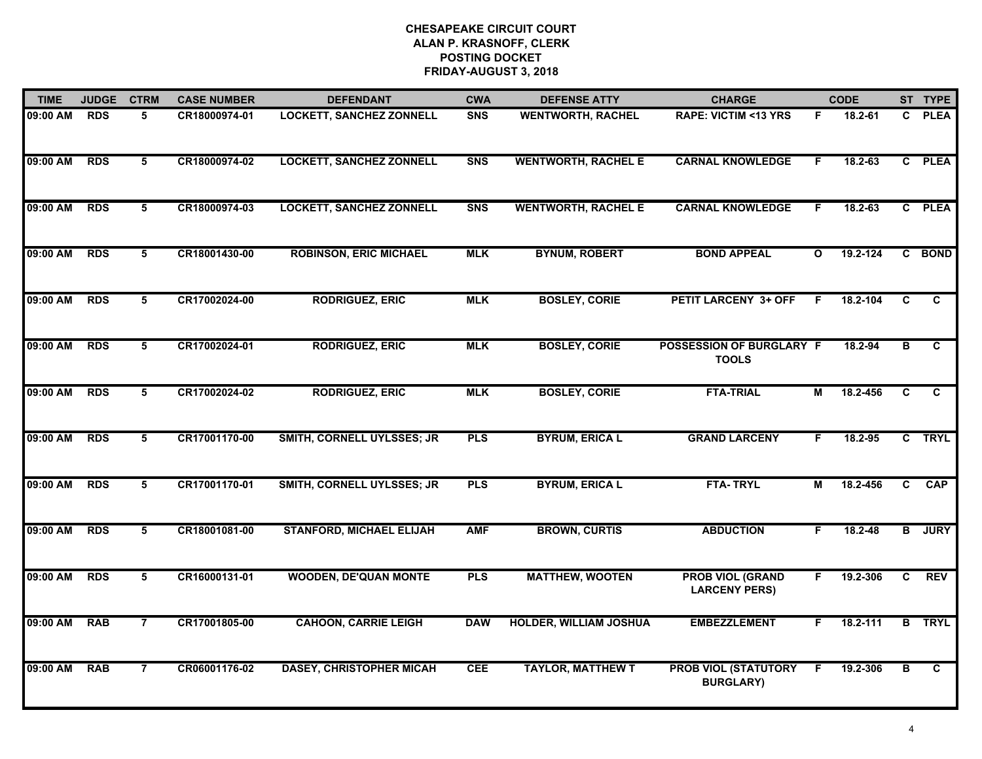| <b>TIME</b> | <b>JUDGE</b> | <b>CTRM</b>     | <b>CASE NUMBER</b> | <b>DEFENDANT</b>                | <b>CWA</b> | <b>DEFENSE ATTY</b>           | <b>CHARGE</b>                                   |                | <b>CODE</b> |                         | ST TYPE        |
|-------------|--------------|-----------------|--------------------|---------------------------------|------------|-------------------------------|-------------------------------------------------|----------------|-------------|-------------------------|----------------|
| 09:00 AM    | <b>RDS</b>   | 5               | CR18000974-01      | <b>LOCKETT, SANCHEZ ZONNELL</b> | <b>SNS</b> | <b>WENTWORTH, RACHEL</b>      | <b>RAPE: VICTIM &lt;13 YRS</b>                  | F              | 18.2-61     | C.                      | <b>PLEA</b>    |
| 09:00 AM    | <b>RDS</b>   | $5\overline{)}$ | CR18000974-02      | <b>LOCKETT, SANCHEZ ZONNELL</b> | <b>SNS</b> | <b>WENTWORTH, RACHEL E</b>    | <b>CARNAL KNOWLEDGE</b>                         | F.             | $18.2 - 63$ |                         | C PLEA         |
| 09:00 AM    | <b>RDS</b>   | $5\overline{)}$ | CR18000974-03      | <b>LOCKETT, SANCHEZ ZONNELL</b> | <b>SNS</b> | <b>WENTWORTH, RACHEL E</b>    | <b>CARNAL KNOWLEDGE</b>                         | F.             | $18.2 - 63$ |                         | C PLEA         |
| 09:00 AM    | <b>RDS</b>   | 5               | CR18001430-00      | <b>ROBINSON, ERIC MICHAEL</b>   | <b>MLK</b> | <b>BYNUM, ROBERT</b>          | <b>BOND APPEAL</b>                              | $\mathbf{o}$   | 19.2-124    |                         | C BOND         |
| 09:00 AM    | <b>RDS</b>   | 5               | CR17002024-00      | <b>RODRIGUEZ, ERIC</b>          | <b>MLK</b> | <b>BOSLEY, CORIE</b>          | <b>PETIT LARCENY 3+ OFF</b>                     | F              | 18.2-104    | C                       | C              |
| 09:00 AM    | <b>RDS</b>   | 5               | CR17002024-01      | <b>RODRIGUEZ, ERIC</b>          | <b>MLK</b> | <b>BOSLEY, CORIE</b>          | <b>POSSESSION OF BURGLARY F</b><br><b>TOOLS</b> |                | 18.2-94     | В                       | C.             |
| 09:00 AM    | <b>RDS</b>   | $5\overline{)}$ | CR17002024-02      | <b>RODRIGUEZ, ERIC</b>          | <b>MLK</b> | <b>BOSLEY, CORIE</b>          | <b>FTA-TRIAL</b>                                | $\overline{M}$ | 18.2-456    | $\overline{c}$          | $\overline{c}$ |
| 09:00 AM    | <b>RDS</b>   | $5\overline{)}$ | CR17001170-00      | SMITH, CORNELL UYLSSES; JR      | <b>PLS</b> | <b>BYRUM, ERICA L</b>         | <b>GRAND LARCENY</b>                            | F.             | 18.2-95     |                         | C TRYL         |
| 09:00 AM    | <b>RDS</b>   | 5               | CR17001170-01      | SMITH, CORNELL UYLSSES; JR      | <b>PLS</b> | <b>BYRUM, ERICA L</b>         | <b>FTA-TRYL</b>                                 | M              | 18.2-456    | C                       | <b>CAP</b>     |
| 09:00 AM    | <b>RDS</b>   | 5               | CR18001081-00      | <b>STANFORD, MICHAEL ELIJAH</b> | <b>AMF</b> | <b>BROWN, CURTIS</b>          | <b>ABDUCTION</b>                                | F.             | $18.2 - 48$ |                         | <b>B</b> JURY  |
| 09:00 AM    | <b>RDS</b>   | 5               | CR16000131-01      | <b>WOODEN, DE'QUAN MONTE</b>    | <b>PLS</b> | <b>MATTHEW, WOOTEN</b>        | <b>PROB VIOL (GRAND</b><br><b>LARCENY PERS)</b> | F.             | 19.2-306    | $\overline{c}$          | <b>REV</b>     |
| 09:00 AM    | <b>RAB</b>   | $\overline{7}$  | CR17001805-00      | <b>CAHOON, CARRIE LEIGH</b>     | <b>DAW</b> | <b>HOLDER, WILLIAM JOSHUA</b> | <b>EMBEZZLEMENT</b>                             | F.             | 18.2-111    |                         | <b>B</b> TRYL  |
| 09:00 AM    | <b>RAB</b>   | $\overline{7}$  | CR06001176-02      | <b>DASEY, CHRISTOPHER MICAH</b> | <b>CEE</b> | <b>TAYLOR, MATTHEW T</b>      | <b>PROB VIOL (STATUTORY</b><br><b>BURGLARY)</b> | F.             | 19.2-306    | $\overline{\mathsf{B}}$ | $\overline{c}$ |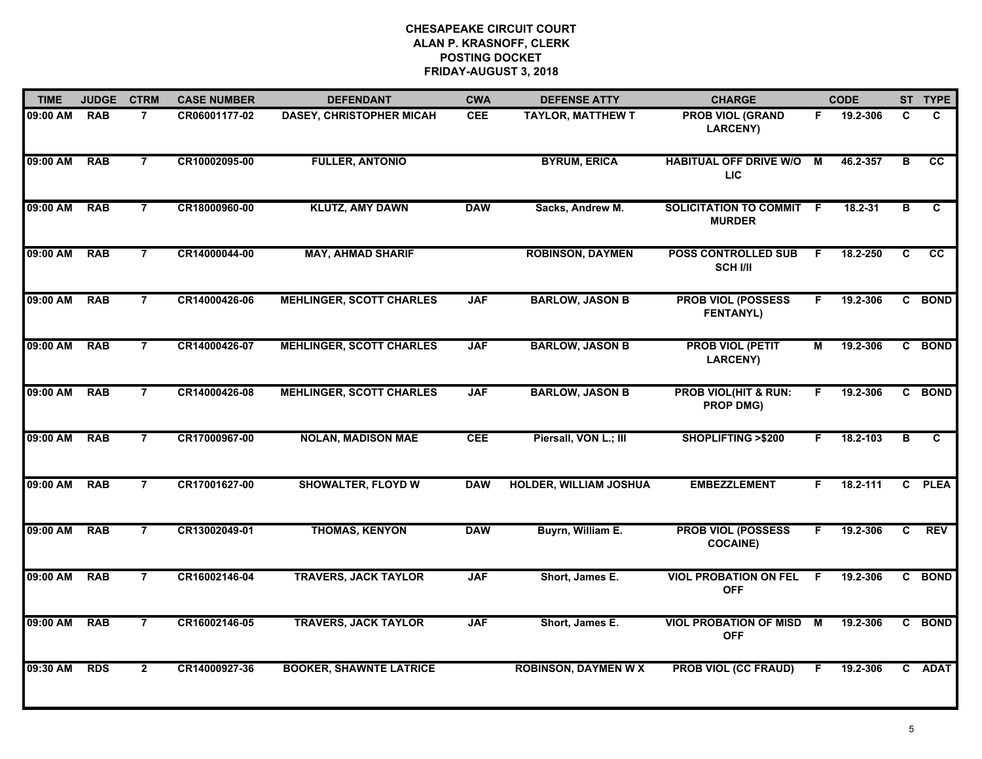| <b>TIME</b> | <b>JUDGE</b> | <b>CTRM</b>    | <b>CASE NUMBER</b> | <b>DEFENDANT</b>                | <b>CWA</b> | <b>DEFENSE ATTY</b>           | <b>CHARGE</b>                                       |                | <b>CODE</b> |                | ST TYPE         |
|-------------|--------------|----------------|--------------------|---------------------------------|------------|-------------------------------|-----------------------------------------------------|----------------|-------------|----------------|-----------------|
| 09:00 AM    | <b>RAB</b>   | $\overline{7}$ | CR06001177-02      | <b>DASEY, CHRISTOPHER MICAH</b> | <b>CEE</b> | <b>TAYLOR, MATTHEW T</b>      | <b>PROB VIOL (GRAND</b><br>LARCENY)                 | F.             | 19.2-306    | C              | C               |
| 09:00 AM    | <b>RAB</b>   | $\overline{7}$ | CR10002095-00      | <b>FULLER, ANTONIO</b>          |            | <b>BYRUM, ERICA</b>           | <b>HABITUAL OFF DRIVE W/O</b><br>LIC                | M              | 46.2-357    | B              | $\overline{cc}$ |
| 09:00 AM    | <b>RAB</b>   | $\overline{7}$ | CR18000960-00      | <b>KLUTZ, AMY DAWN</b>          | <b>DAW</b> | Sacks, Andrew M.              | <b>SOLICITATION TO COMMIT</b><br><b>MURDER</b>      | - F            | 18.2-31     | B              | C.              |
| 09:00 AM    | <b>RAB</b>   | $\overline{7}$ | CR14000044-00      | <b>MAY, AHMAD SHARIF</b>        |            | <b>ROBINSON, DAYMEN</b>       | <b>POSS CONTROLLED SUB</b><br><b>SCH I/II</b>       | F              | 18.2-250    | C              | cc              |
| 09:00 AM    | <b>RAB</b>   | $\overline{7}$ | CR14000426-06      | <b>MEHLINGER, SCOTT CHARLES</b> | <b>JAF</b> | <b>BARLOW, JASON B</b>        | <b>PROB VIOL (POSSESS</b><br><b>FENTANYL)</b>       | F.             | 19.2-306    |                | C BOND          |
| 09:00 AM    | <b>RAB</b>   | $\overline{7}$ | CR14000426-07      | <b>MEHLINGER, SCOTT CHARLES</b> | <b>JAF</b> | <b>BARLOW, JASON B</b>        | <b>PROB VIOL (PETIT</b><br>LARCENY)                 | $\overline{M}$ | 19.2-306    |                | C BOND          |
| 09:00 AM    | <b>RAB</b>   | $\overline{7}$ | CR14000426-08      | <b>MEHLINGER, SCOTT CHARLES</b> | <b>JAF</b> | <b>BARLOW, JASON B</b>        | <b>PROB VIOL(HIT &amp; RUN:</b><br><b>PROP DMG)</b> | F              | 19.2-306    | $\mathbf{c}$   | <b>BOND</b>     |
| 09:00 AM    | <b>RAB</b>   | $\overline{7}$ | CR17000967-00      | <b>NOLAN, MADISON MAE</b>       | <b>CEE</b> | Piersall, VON L.; III         | <b>SHOPLIFTING &gt;\$200</b>                        | F              | 18.2-103    | B              | C.              |
| 09:00 AM    | <b>RAB</b>   | $\overline{7}$ | CR17001627-00      | <b>SHOWALTER, FLOYD W</b>       | <b>DAW</b> | <b>HOLDER, WILLIAM JOSHUA</b> | <b>EMBEZZLEMENT</b>                                 | F.             | 18.2-111    | $\mathbf{C}$   | <b>PLEA</b>     |
| 09:00 AM    | <b>RAB</b>   | $\overline{7}$ | CR13002049-01      | <b>THOMAS, KENYON</b>           | <b>DAW</b> | Buyrn, William E.             | <b>PROB VIOL (POSSESS</b><br><b>COCAINE)</b>        | F              | 19.2-306    | $\mathbf{C}$   | <b>REV</b>      |
| 09:00 AM    | <b>RAB</b>   | $\overline{7}$ | CR16002146-04      | <b>TRAVERS, JACK TAYLOR</b>     | <b>JAF</b> | Short, James E.               | <b>VIOL PROBATION ON FEL</b><br><b>OFF</b>          | -F             | 19.2-306    |                | C BOND          |
| 09:00 AM    | <b>RAB</b>   | $\overline{7}$ | CR16002146-05      | <b>TRAVERS, JACK TAYLOR</b>     | <b>JAF</b> | Short, James E.               | <b>VIOL PROBATION OF MISD M</b><br><b>OFF</b>       |                | 19.2-306    | $\overline{c}$ | <b>BOND</b>     |
| 09:30 AM    | <b>RDS</b>   | $\overline{2}$ | CR14000927-36      | <b>BOOKER, SHAWNTE LATRICE</b>  |            | <b>ROBINSON, DAYMEN W X</b>   | <b>PROB VIOL (CC FRAUD)</b>                         | F              | 19.2-306    |                | C ADAT          |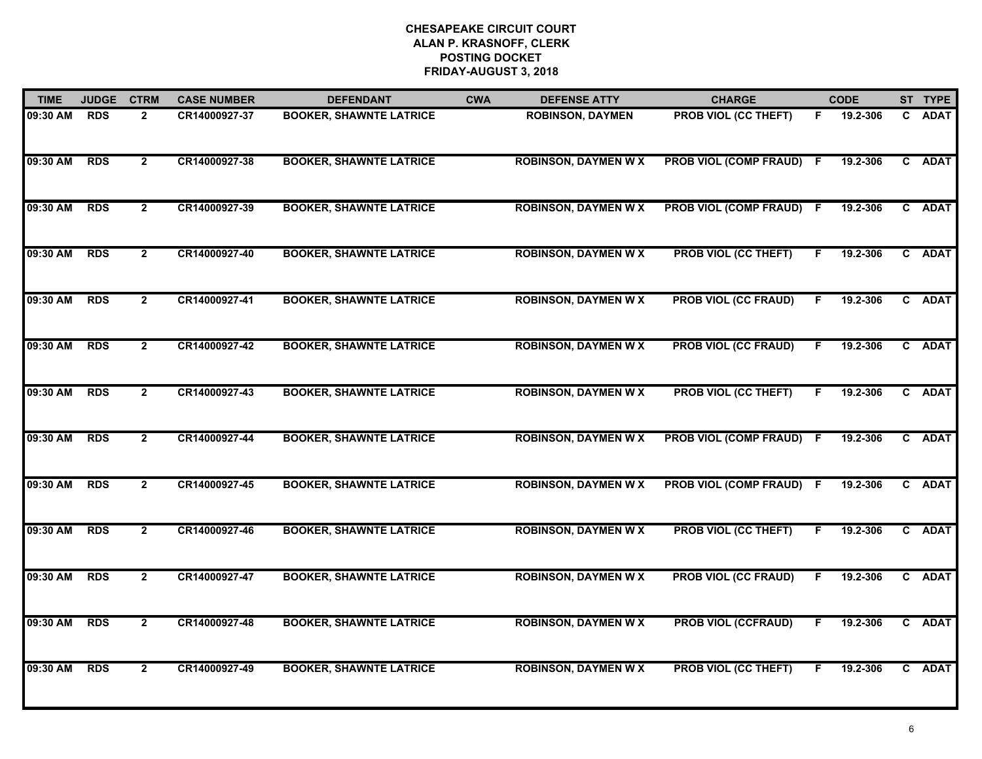| <b>TIME</b> | <b>JUDGE</b> | <b>CTRM</b>    | <b>CASE NUMBER</b> | <b>DEFENDANT</b>               | <b>CWA</b> | <b>DEFENSE ATTY</b>         | <b>CHARGE</b>                 |    | <b>CODE</b> | ST TYPE |
|-------------|--------------|----------------|--------------------|--------------------------------|------------|-----------------------------|-------------------------------|----|-------------|---------|
| 09:30 AM    | <b>RDS</b>   | $\overline{2}$ | CR14000927-37      | <b>BOOKER, SHAWNTE LATRICE</b> |            | <b>ROBINSON, DAYMEN</b>     | PROB VIOL (CC THEFT)          | F. | 19.2-306    | C ADAT  |
| 09:30 AM    | <b>RDS</b>   | $\overline{2}$ | CR14000927-38      | <b>BOOKER, SHAWNTE LATRICE</b> |            | <b>ROBINSON, DAYMEN W X</b> | <b>PROB VIOL (COMP FRAUD)</b> | -F | 19.2-306    | C ADAT  |
| 09:30 AM    | <b>RDS</b>   | $\mathbf{2}$   | CR14000927-39      | <b>BOOKER, SHAWNTE LATRICE</b> |            | <b>ROBINSON, DAYMEN W X</b> | <b>PROB VIOL (COMP FRAUD)</b> | -F | 19.2-306    | C ADAT  |
| 09:30 AM    | <b>RDS</b>   | $\overline{2}$ | CR14000927-40      | <b>BOOKER, SHAWNTE LATRICE</b> |            | <b>ROBINSON, DAYMEN W X</b> | <b>PROB VIOL (CC THEFT)</b>   | F. | 19.2-306    | C ADAT  |
| 09:30 AM    | <b>RDS</b>   | $\mathbf{2}$   | CR14000927-41      | <b>BOOKER, SHAWNTE LATRICE</b> |            | <b>ROBINSON, DAYMEN W X</b> | <b>PROB VIOL (CC FRAUD)</b>   | F  | 19.2-306    | C ADAT  |
| 09:30 AM    | <b>RDS</b>   | $\mathbf{2}$   | CR14000927-42      | <b>BOOKER, SHAWNTE LATRICE</b> |            | <b>ROBINSON, DAYMEN W X</b> | <b>PROB VIOL (CC FRAUD)</b>   | F. | 19.2-306    | C ADAT  |
| 09:30 AM    | <b>RDS</b>   | $\overline{2}$ | CR14000927-43      | <b>BOOKER, SHAWNTE LATRICE</b> |            | <b>ROBINSON, DAYMEN W X</b> | <b>PROB VIOL (CC THEFT)</b>   | F. | 19.2-306    | C ADAT  |
| 09:30 AM    | <b>RDS</b>   | $\overline{2}$ | CR14000927-44      | <b>BOOKER, SHAWNTE LATRICE</b> |            | <b>ROBINSON, DAYMEN W X</b> | <b>PROB VIOL (COMP FRAUD)</b> | -F | 19.2-306    | C ADAT  |
| 09:30 AM    | <b>RDS</b>   | $\mathbf{2}$   | CR14000927-45      | <b>BOOKER, SHAWNTE LATRICE</b> |            | <b>ROBINSON, DAYMEN W X</b> | <b>PROB VIOL (COMP FRAUD)</b> | -F | 19.2-306    | C ADAT  |
| 09:30 AM    | <b>RDS</b>   | $\overline{2}$ | CR14000927-46      | <b>BOOKER, SHAWNTE LATRICE</b> |            | <b>ROBINSON, DAYMEN W X</b> | <b>PROB VIOL (CC THEFT)</b>   | F  | 19.2-306    | C ADAT  |
| 09:30 AM    | <b>RDS</b>   | $\mathbf{2}$   | CR14000927-47      | <b>BOOKER, SHAWNTE LATRICE</b> |            | <b>ROBINSON, DAYMEN W X</b> | <b>PROB VIOL (CC FRAUD)</b>   | F. | 19.2-306    | C ADAT  |
| 09:30 AM    | <b>RDS</b>   | $\overline{2}$ | CR14000927-48      | <b>BOOKER, SHAWNTE LATRICE</b> |            | <b>ROBINSON, DAYMEN W X</b> | <b>PROB VIOL (CCFRAUD)</b>    | F  | 19.2-306    | C ADAT  |
| 09:30 AM    | <b>RDS</b>   | $\mathbf{2}$   | CR14000927-49      | <b>BOOKER, SHAWNTE LATRICE</b> |            | <b>ROBINSON, DAYMEN W X</b> | <b>PROB VIOL (CC THEFT)</b>   | F  | 19.2-306    | C ADAT  |